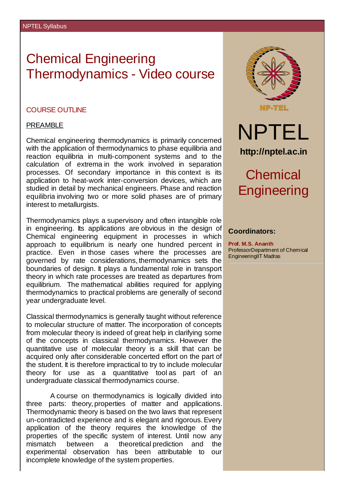# Chemical Engineering Thermodynamics - Video course

### COURSE OUTLINE

### PREAMBLE

Chemical engineering thermodynamics is primarily concerned with the application of thermodynamics to phase equilibria and reaction equilibria in multi-component systems and to the calculation of extrema in the work involved in separation processes. Of secondary importance in this context is its application to heat-work inter-conversion devices, which are studied in detail by mechanical engineers. Phase and reaction equilibria involving two or more solid phases are of primary interest to metallurgists.

Thermodynamics plays a supervisory and often intangible role in engineering. Its applications are obvious in the design of Chemical engineering equipment in processes in which approach to equilibrium is nearly one hundred percent in practice. Even in those cases where the processes are governed by rate considerations, thermodynamics sets the boundaries of design. It plays a fundamental role in transport theory in which rate processes are treated as departures from equilibrium. The mathematical abilities required for applying thermodynamics to practical problems are generally of second year undergraduate level.

Classical thermodynamics is generally taught without reference to molecular structure of matter. The incorporation of concepts from molecular theory is indeed of great help in clarifying some of the concepts in classical thermodynamics. However the quantitative use of molecular theory is a skill that can be acquired only after considerable concerted effort on the part of the student. It is therefore impractical to try to include molecular theory for use as a quantitative tool as part of an undergraduate classical thermodynamics course.

A course on thermodynamics is logically divided into three parts: theory, properties of matter and applications. Thermodynamic theory is based on the two laws that represent un-contradicted experience and is elegant and rigorous.Every application of the theory requires the knowledge of the properties of the specific system of interest. Until now any mismatch between a theoretical prediction and the experimental observation has been attributable to our incomplete knowledge of the system properties.



## **Coordinators:**

**Prof. M.S. Ananth** ProfessorDepartment of Chemical EngineeringIIT Madras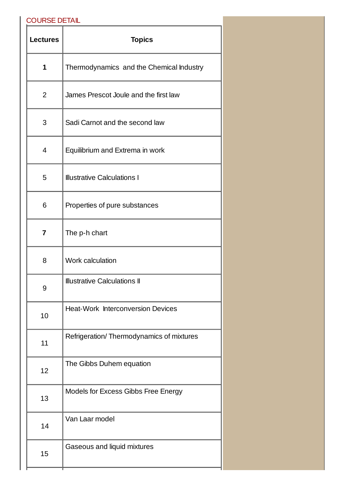# COURSE DETAIL

| <b>Lectures</b> | <b>Topics</b>                             |
|-----------------|-------------------------------------------|
| $\mathbf{1}$    | Thermodynamics and the Chemical Industry  |
| 2               | James Prescot Joule and the first law     |
| 3               | Sadi Carnot and the second law            |
| 4               | Equilibrium and Extrema in work           |
| 5               | <b>Illustrative Calculations I</b>        |
| 6               | Properties of pure substances             |
| $\overline{7}$  | The p-h chart                             |
| 8               | Work calculation                          |
| 9               | <b>Illustrative Calculations II</b>       |
| 10              | <b>Heat-Work Interconversion Devices</b>  |
| 11              | Refrigeration/ Thermodynamics of mixtures |
| 12              | The Gibbs Duhem equation                  |
| 13              | Models for Excess Gibbs Free Energy       |
| 14              | Van Laar model                            |
| 15              | Gaseous and liquid mixtures               |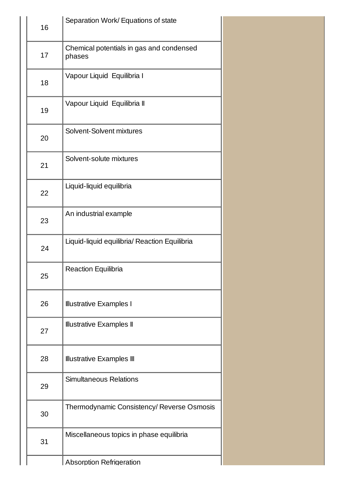| 16 | Separation Work/ Equations of state                |
|----|----------------------------------------------------|
| 17 | Chemical potentials in gas and condensed<br>phases |
| 18 | Vapour Liquid Equilibria I                         |
| 19 | Vapour Liquid Equilibria II                        |
| 20 | Solvent-Solvent mixtures                           |
| 21 | Solvent-solute mixtures                            |
| 22 | Liquid-liquid equilibria                           |
| 23 | An industrial example                              |
| 24 | Liquid-liquid equilibria/ Reaction Equilibria      |
| 25 | <b>Reaction Equilibria</b>                         |
| 26 | <b>Illustrative Examples I</b>                     |
| 27 | <b>Illustrative Examples II</b>                    |
| 28 | <b>Illustrative Examples III</b>                   |
| 29 | <b>Simultaneous Relations</b>                      |
| 30 | Thermodynamic Consistency/ Reverse Osmosis         |
| 31 | Miscellaneous topics in phase equilibria           |
|    | <b>Absorption Refrigeration</b>                    |